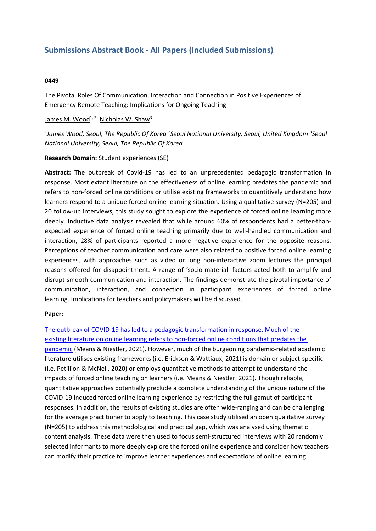# **Submissions Abstract Book - All Papers (Included Submissions)**

### **0449**

The Pivotal Roles Of Communication, Interaction and Connection in Positive Experiences of Emergency Remote Teaching: Implications for Ongoing Teaching

## James M. Wood<sup>1, 2</sup>, Nicholas W. Shaw<sup>3</sup>

*1 James Wood, Seoul, The Republic Of Korea <sup>2</sup> Seoul National University, Seoul, United Kingdom <sup>3</sup> Seoul National University, Seoul, The Republic Of Korea*

## **Research Domain:** Student experiences (SE)

**Abstract:** The outbreak of Covid-19 has led to an unprecedented pedagogic transformation in response. Most extant literature on the effectiveness of online learning predates the pandemic and refers to non-forced online conditions or utilise existing frameworks to quantitively understand how learners respond to <sup>a</sup> unique forced online learning situation. Using <sup>a</sup> qualitative survey (N=205) and 20 follow-up interviews, this study sought to explore the experience of forced online learning more deeply. Inductive data analysis revealed that while around 60% of respondents had <sup>a</sup> better-thanexpected experience of forced online teaching primarily due to well-handled communication and interaction, 28% of participants reported <sup>a</sup> more negative experience for the opposite reasons. Perceptions of teacher communication and care were also related to positive forced online learning experiences, with approaches such as video or long non-interactive zoom lectures the principal reasons offered for disappointment. A range of 'socio-material' factors acted both to amplify and disrupt smooth communication and interaction. The findings demonstrate the pivotal importance of communication, interaction, and connection in participant experiences of forced online learning. Implications for teachers and policymakers will be discussed.

## **Paper:**

The outbreak of COVID-19 has led to <sup>a</sup> pedagogic transformation in response. Much of the existing literature on online learning refers to non-forced online conditions that predates the pandemic (Means & Niestler, 2021). However, much of the burgeoning pandemic-related academic literature utilises existing frameworks (i.e. Erickson & Wattiaux, 2021) is domain or subject-specific (i.e. Petillion & McNeil, 2020) or employs quantitative methods to attempt to understand the impacts of forced online teaching on learners (i.e. Means & Niestler, 2021). Though reliable, quantitative approaches potentially preclude <sup>a</sup> complete understanding of the unique nature of the COVID-19 induced forced online learning experience by restricting the full gamut of participant responses. In addition, the results of existing studies are often wide-ranging and can be challenging for the average practitioner to apply to teaching. This case study utilised an open qualitative survey (N=205) to address this methodological and practical gap, which was analysed using thematic content analysis. These data were then used to focus semi-structured interviews with 20 randomly selected informants to more deeply explore the forced online experience and consider how teachers can modify their practice to improve learner experiences and expectations of online learning.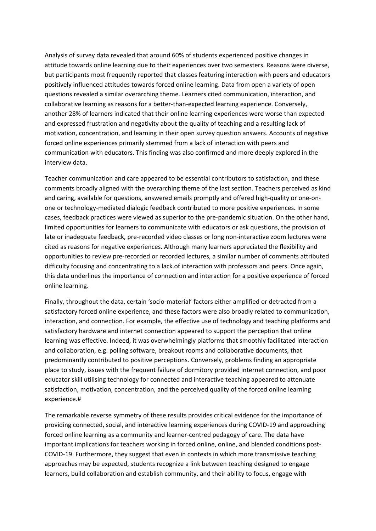Analysis of survey data revealed that around 60% of students experienced positive changes in attitude towards online learning due to their experiences over two semesters. Reasons were diverse, but participants most frequently reported that classes featuring interaction with peers and educators positively influenced attitudes towards forced online learning. Data from open <sup>a</sup> variety of open questions revealed <sup>a</sup> similar overarching theme. Learners cited communication, interaction, and collaborative learning as reasons for <sup>a</sup> better-than-expected learning experience. Conversely, another 28% of learners indicated that their online learning experiences were worse than expected and expressed frustration and negativity about the quality of teaching and <sup>a</sup> resulting lack of motivation, concentration, and learning in their open survey question answers. Accounts of negative forced online experiences primarily stemmed from <sup>a</sup> lack of interaction with peers and communication with educators. This finding was also confirmed and more deeply explored in the interview data.

Teacher communication and care appeared to be essential contributors to satisfaction, and these comments broadly aligned with the overarching theme of the last section. Teachers perceived as kind and caring, available for questions, answered emails promptly and offered high-quality or one-onone or technology-mediated dialogic feedback contributed to more positive experiences. In some cases, feedback practices were viewed as superior to the pre-pandemic situation. On the other hand, limited opportunities for learners to communicate with educators or ask questions, the provision of late or inadequate feedback, pre-recorded video classes or long non-interactive zoom lectures were cited as reasons for negative experiences. Although many learners appreciated the flexibility and opportunities to review pre-recorded or recorded lectures, <sup>a</sup> similar number of comments attributed difficulty focusing and concentrating to <sup>a</sup> lack of interaction with professors and peers. Once again, this data underlines the importance of connection and interaction for <sup>a</sup> positive experience of forced online learning.

Finally, throughout the data, certain 'socio‐material' factors either amplified or detracted from <sup>a</sup> satisfactory forced online experience, and these factors were also broadly related to communication, interaction, and connection. For example, the effective use of technology and teaching platforms and satisfactory hardware and internet connection appeared to support the perception that online learning was effective. Indeed, it was overwhelmingly platforms that smoothly facilitated interaction and collaboration, e.g. polling software, breakout rooms and collaborative documents, that predominantly contributed to positive perceptions. Conversely, problems finding an appropriate place to study, issues with the frequent failure of dormitory provided internet connection, and poor educator skill utilising technology for connected and interactive teaching appeared to attenuate satisfaction, motivation, concentration, and the perceived quality of the forced online learning experience.#

The remarkable reverse symmetry of these results provides critical evidence for the importance of providing connected, social, and interactive learning experiences during COVID-19 and approaching forced online learning as <sup>a</sup> community and learner-centred pedagogy of care. The data have important implications for teachers working in forced online, online, and blended conditions post-COVID-19. Furthermore, they suggest that even in contexts in which more transmissive teaching approaches may be expected, students recognize <sup>a</sup> link between teaching designed to engage learners, build collaboration and establish community, and their ability to focus, engage with